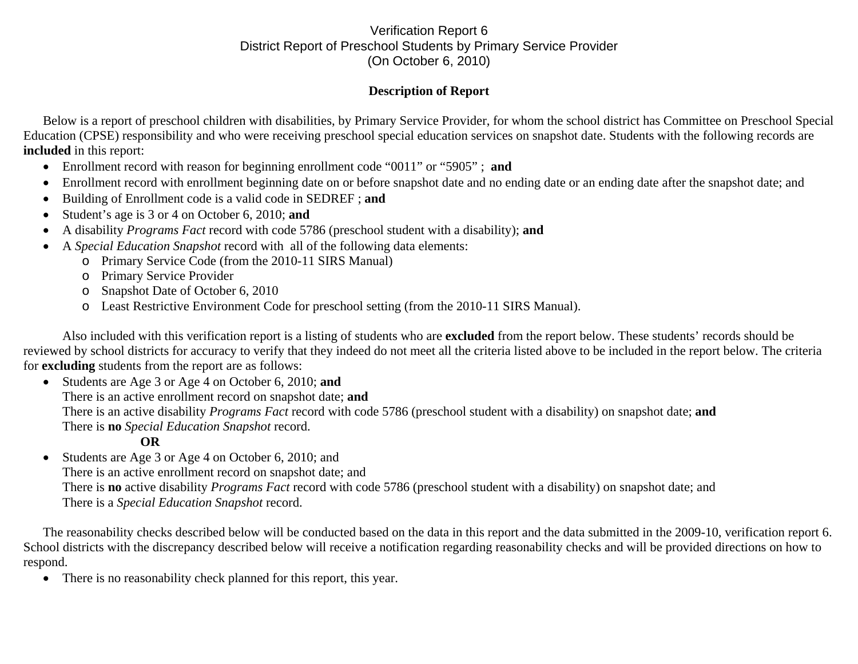## Verification Report 6 District Report of Preschool Students by Primary Service Provider (On October 6, 2010)

## **Description of Report**

Below is a report of preschool children with disabilities, by Primary Service Provider, for whom the school district has Committee on Preschool Special Education (CPSE) responsibility and who were receiving preschool special education services on snapshot date. Students with the following records are **included** in this report:

- Enrollment record with reason for beginning enrollment code "0011" or "5905" ; **and**
- •Enrollment record with enrollment beginning date on or before snapshot date and no ending date or an ending date after the snapshot date; and
- •Building of Enrollment code is a valid code in SEDREF ; **and**
- •Student's age is 3 or 4 on October 6, 2010; **and**
- •A disability *Programs Fact* record with code 5786 (preschool student with a disability); **and**
- • A *Special Education Snapshot* record with all of the following data elements:
	- o Primary Service Code (from the 2010-11 SIRS Manual)
	- o Primary Service Provider
	- o Snapshot Date of October 6, 2010
	- o Least Restrictive Environment Code for preschool setting (from the 2010-11 SIRS Manual).

Also included with this verification report is a listing of students who are **excluded** from the report below. These students' records should be reviewed by school districts for accuracy to verify that they indeed do not meet all the criteria listed above to be included in the report below. The criteria for **excluding** students from the report are as follows:

• Students are Age 3 or Age 4 on October 6, 2010; **and**  There is an active enrollment record on snapshot date; **and** There is an active disability *Programs Fact* record with code 5786 (preschool student with a disability) on snapshot date; **and** There is **no** *Special Education Snapshot* record.

## **OR**

 $\bullet$  Students are Age 3 or Age 4 on October 6, 2010; and There is an active enrollment record on snapshot date; and There is **no** active disability *Programs Fact* record with code 5786 (preschool student with a disability) on snapshot date; and There is a *Special Education Snapshot* record.

The reasonability checks described below will be conducted based on the data in this report and the data submitted in the 2009-10, verification report 6. School districts with the discrepancy described below will receive a notification regarding reasonability checks and will be provided directions on how to respond.

 $\bullet$ There is no reasonability check planned for this report, this year.